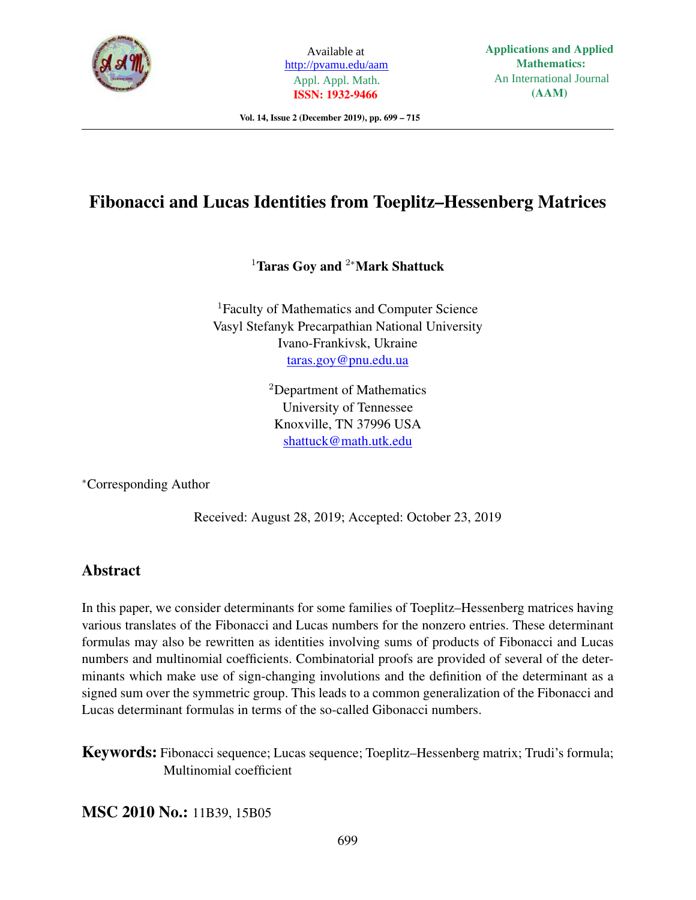

Available at http://pvamu.edu/aam Appl. Appl. Math. **ISSN: 1932-9466**

Vol. 14, Issue 2 (December 2019), pp. 699 – 715

# Fibonacci and Lucas Identities from Toeplitz–Hessenberg Matrices

<sup>1</sup>Taras Goy and <sup>2</sup><sup>∗</sup>Mark Shattuck

<sup>1</sup>Faculty of Mathematics and Computer Science Vasyl Stefanyk Precarpathian National University Ivano-Frankivsk, Ukraine taras.goy@pnu.edu.ua

> <sup>2</sup>Department of Mathematics University of Tennessee Knoxville, TN 37996 USA shattuck@math.utk.edu

<sup>∗</sup>Corresponding Author

Received: August 28, 2019; Accepted: October 23, 2019

## Abstract

In this paper, we consider determinants for some families of Toeplitz–Hessenberg matrices having various translates of the Fibonacci and Lucas numbers for the nonzero entries. These determinant formulas may also be rewritten as identities involving sums of products of Fibonacci and Lucas numbers and multinomial coefficients. Combinatorial proofs are provided of several of the determinants which make use of sign-changing involutions and the definition of the determinant as a signed sum over the symmetric group. This leads to a common generalization of the Fibonacci and Lucas determinant formulas in terms of the so-called Gibonacci numbers.

Keywords: Fibonacci sequence; Lucas sequence; Toeplitz–Hessenberg matrix; Trudi's formula; Multinomial coefficient

MSC 2010 No.: 11B39, 15B05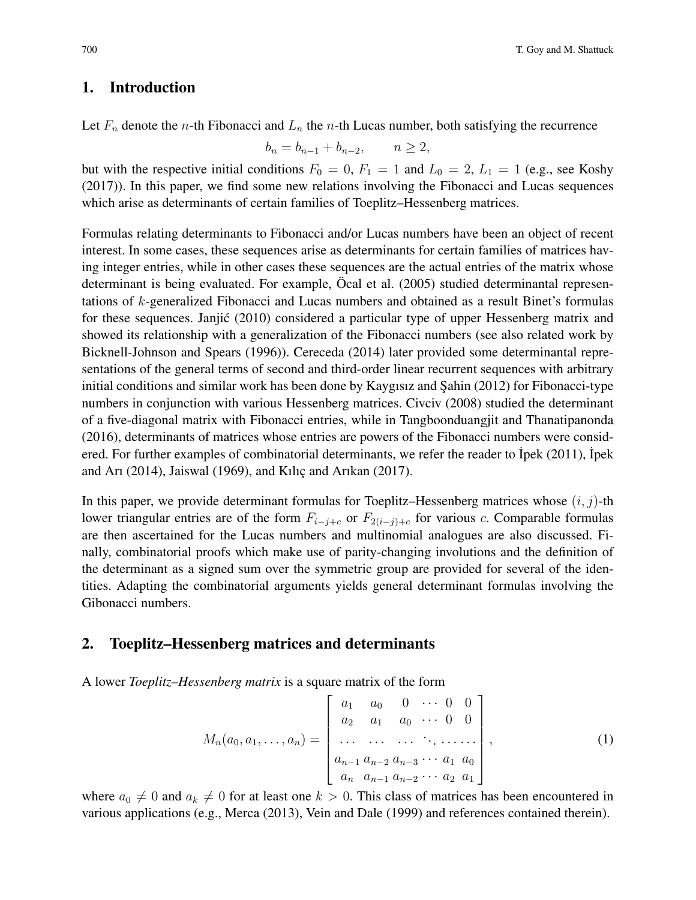## 1. Introduction

Let  $F_n$  denote the *n*-th Fibonacci and  $L_n$  the *n*-th Lucas number, both satisfying the recurrence

$$
b_n = b_{n-1} + b_{n-2}, \qquad n \ge 2,
$$

but with the respective initial conditions  $F_0 = 0$ ,  $F_1 = 1$  and  $L_0 = 2$ ,  $L_1 = 1$  (e.g., see Koshy (2017)). In this paper, we find some new relations involving the Fibonacci and Lucas sequences which arise as determinants of certain families of Toeplitz–Hessenberg matrices.

Formulas relating determinants to Fibonacci and/or Lucas numbers have been an object of recent interest. In some cases, these sequences arise as determinants for certain families of matrices having integer entries, while in other cases these sequences are the actual entries of the matrix whose determinant is being evaluated. For example, Öcal et al. (2005) studied determinantal representations of k-generalized Fibonacci and Lucas numbers and obtained as a result Binet's formulas for these sequences. Janjic (2010) considered a particular type of upper Hessenberg matrix and ´ showed its relationship with a generalization of the Fibonacci numbers (see also related work by Bicknell-Johnson and Spears (1996)). Cereceda (2014) later provided some determinantal representations of the general terms of second and third-order linear recurrent sequences with arbitrary initial conditions and similar work has been done by Kaygısız and Şahin  $(2012)$  for Fibonacci-type numbers in conjunction with various Hessenberg matrices. Civciv (2008) studied the determinant of a five-diagonal matrix with Fibonacci entries, while in Tangboonduangjit and Thanatipanonda (2016), determinants of matrices whose entries are powers of the Fibonacci numbers were considered. For further examples of combinatorial determinants, we refer the reader to Ipek (2011), Ipek and Arı (2014), Jaiswal (1969), and Kılıç and Arıkan (2017).

In this paper, we provide determinant formulas for Toeplitz–Hessenberg matrices whose  $(i, j)$ -th lower triangular entries are of the form  $F_{i-j+c}$  or  $F_{2(i-j)+c}$  for various c. Comparable formulas are then ascertained for the Lucas numbers and multinomial analogues are also discussed. Finally, combinatorial proofs which make use of parity-changing involutions and the definition of the determinant as a signed sum over the symmetric group are provided for several of the identities. Adapting the combinatorial arguments yields general determinant formulas involving the Gibonacci numbers.

## 2. Toeplitz–Hessenberg matrices and determinants

A lower *Toeplitz–Hessenberg matrix* is a square matrix of the form

$$
M_n(a_0, a_1, \dots, a_n) = \begin{bmatrix} a_1 & a_0 & 0 & \cdots & 0 & 0 \\ a_2 & a_1 & a_0 & \cdots & 0 & 0 \\ \vdots & \vdots & \ddots & \vdots & \ddots & \vdots \\ a_{n-1} & a_{n-2} & a_{n-3} & \cdots & a_1 & a_0 \\ a_n & a_{n-1} & a_{n-2} & \cdots & a_2 & a_1 \end{bmatrix},
$$
 (1)

where  $a_0 \neq 0$  and  $a_k \neq 0$  for at least one  $k > 0$ . This class of matrices has been encountered in various applications (e.g., Merca (2013), Vein and Dale (1999) and references contained therein).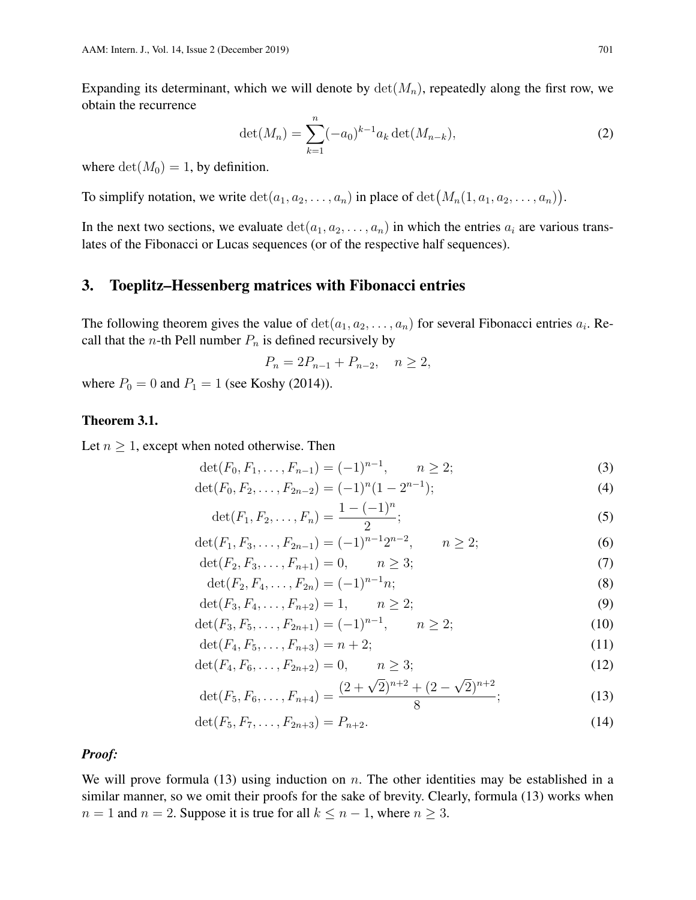Expanding its determinant, which we will denote by  $\det(M_n)$ , repeatedly along the first row, we obtain the recurrence

$$
\det(M_n) = \sum_{k=1}^n (-a_0)^{k-1} a_k \det(M_{n-k}), \tag{2}
$$

where  $det(M_0) = 1$ , by definition.

To simplify notation, we write  $\det(a_1, a_2, \ldots, a_n)$  in place of  $\det(M_n(1, a_1, a_2, \ldots, a_n)).$ 

In the next two sections, we evaluate  $\det(a_1, a_2, \ldots, a_n)$  in which the entries  $a_i$  are various translates of the Fibonacci or Lucas sequences (or of the respective half sequences).

### 3. Toeplitz–Hessenberg matrices with Fibonacci entries

The following theorem gives the value of  $\det(a_1, a_2, \ldots, a_n)$  for several Fibonacci entries  $a_i$ . Recall that the *n*-th Pell number  $P_n$  is defined recursively by

$$
P_n = 2P_{n-1} + P_{n-2}, \quad n \ge 2,
$$

where  $P_0 = 0$  and  $P_1 = 1$  (see Koshy (2014)).

### Theorem 3.1.

Let  $n \geq 1$ , except when noted otherwise. Then

$$
\det(F_0, F_1, \dots, F_{n-1}) = (-1)^{n-1}, \qquad n \ge 2; \tag{3}
$$

$$
\det(F_0, F_2, \dots, F_{2n-2}) = (-1)^n (1 - 2^{n-1});
$$
\n(4)

$$
\det(F_1, F_2, \dots, F_n) = \frac{1 - (-1)^n}{2};\tag{5}
$$

$$
\det(F_1, F_3, \dots, F_{2n-1}) = (-1)^{n-1} 2^{n-2}, \qquad n \ge 2; \tag{6}
$$

$$
\det(F_2, F_3, \dots, F_{n+1}) = 0, \qquad n \ge 3; \tag{7}
$$

$$
\det(F_2, F_4, \dots, F_{2n}) = (-1)^{n-1} n;
$$
\n(8)

$$
\det(F_3, F_4, \dots, F_{n+2}) = 1, \qquad n \ge 2;
$$
\n(9)

$$
\det(F_3, F_5, \dots, F_{2n+1}) = (-1)^{n-1}, \qquad n \ge 2; \tag{10}
$$

$$
\det(F_4, F_5, \dots, F_{n+3}) = n+2; \tag{11}
$$

$$
\det(F_4, F_6, \dots, F_{2n+2}) = 0, \qquad n \ge 3; \tag{12}
$$

$$
\det(F_5, F_6, \dots, F_{n+4}) = \frac{(2+\sqrt{2})^{n+2} + (2-\sqrt{2})^{n+2}}{8};
$$
\n(13)

$$
\det(F_5, F_7, \dots, F_{2n+3}) = P_{n+2}.
$$
\n(14)

#### *Proof:*

We will prove formula (13) using induction on  $n$ . The other identities may be established in a similar manner, so we omit their proofs for the sake of brevity. Clearly, formula (13) works when  $n = 1$  and  $n = 2$ . Suppose it is true for all  $k \leq n - 1$ , where  $n \geq 3$ .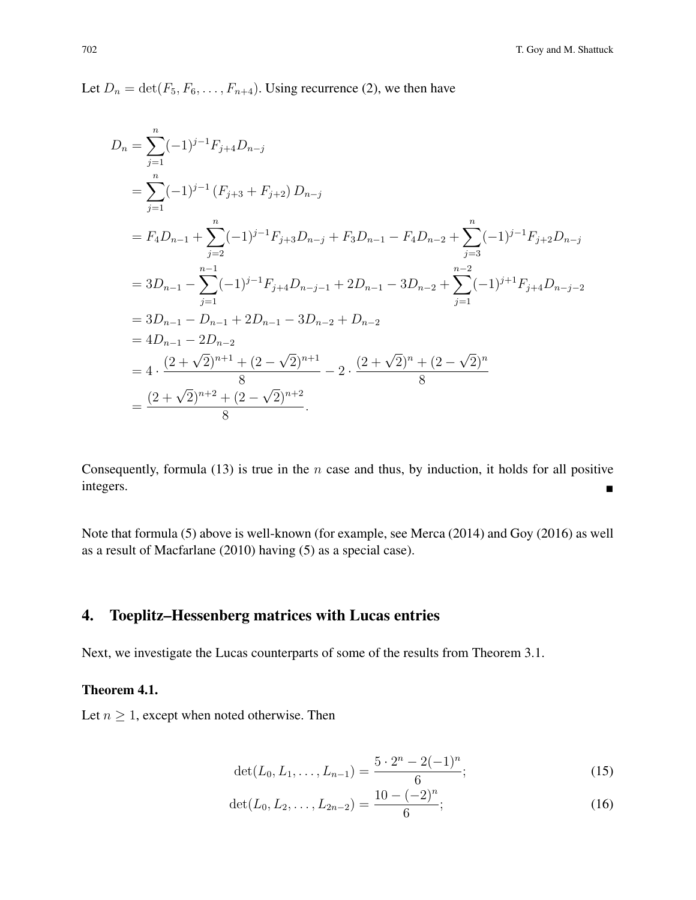Let  $D_n = \det(F_5, F_6, \ldots, F_{n+4})$ . Using recurrence (2), we then have

$$
D_n = \sum_{j=1}^n (-1)^{j-1} F_{j+4} D_{n-j}
$$
  
=  $\sum_{j=1}^n (-1)^{j-1} (F_{j+3} + F_{j+2}) D_{n-j}$   
=  $F_4 D_{n-1} + \sum_{j=2}^n (-1)^{j-1} F_{j+3} D_{n-j} + F_3 D_{n-1} - F_4 D_{n-2} + \sum_{j=3}^n (-1)^{j-1} F_{j+2} D_{n-j}$   
=  $3D_{n-1} - \sum_{j=1}^{n-1} (-1)^{j-1} F_{j+4} D_{n-j-1} + 2D_{n-1} - 3D_{n-2} + \sum_{j=1}^{n-2} (-1)^{j+1} F_{j+4} D_{n-j-2}$   
=  $3D_{n-1} - D_{n-1} + 2D_{n-1} - 3D_{n-2} + D_{n-2}$   
=  $4D_{n-1} - 2D_{n-2}$   
=  $4 \cdot \frac{(2 + \sqrt{2})^{n+1} + (2 - \sqrt{2})^{n+1}}{8} - 2 \cdot \frac{(2 + \sqrt{2})^n + (2 - \sqrt{2})^n}{8}$   
=  $\frac{(2 + \sqrt{2})^{n+2} + (2 - \sqrt{2})^{n+2}}{8}$ .

Consequently, formula (13) is true in the  $n$  case and thus, by induction, it holds for all positive integers.

Note that formula (5) above is well-known (for example, see Merca (2014) and Goy (2016) as well as a result of Macfarlane (2010) having (5) as a special case).

## 4. Toeplitz–Hessenberg matrices with Lucas entries

Next, we investigate the Lucas counterparts of some of the results from Theorem 3.1.

## Theorem 4.1.

Let  $n \geq 1$ , except when noted otherwise. Then

$$
\det(L_0, L_1, \dots, L_{n-1}) = \frac{5 \cdot 2^n - 2(-1)^n}{6};
$$
\n(15)

$$
\det(L_0, L_2, \dots, L_{2n-2}) = \frac{10 - (-2)^n}{6};
$$
\n(16)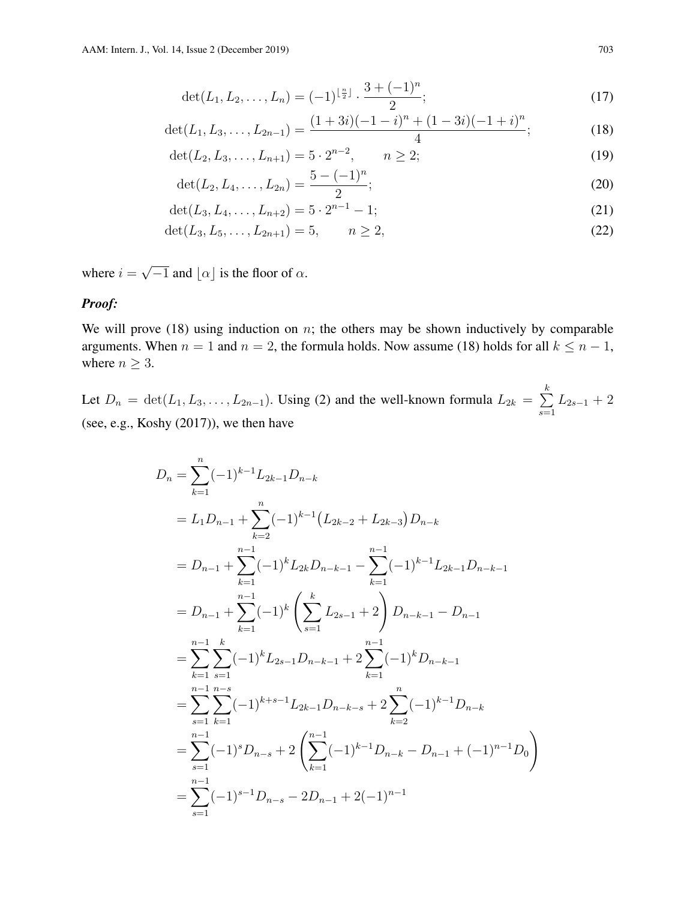$$
\det(L_1, L_2, \dots, L_n) = (-1)^{\lfloor \frac{n}{2} \rfloor} \cdot \frac{3 + (-1)^n}{2};
$$
\n(17)

$$
\det(L_1, L_3, \dots, L_{2n-1}) = \frac{(1+3i)(-1-i)^n + (1-3i)(-1+i)^n}{4};
$$
\n(18)

$$
\det(L_2, L_3, \dots, L_{n+1}) = 5 \cdot 2^{n-2}, \qquad n \ge 2; \tag{19}
$$

$$
\det(L_2, L_4, \dots, L_{2n}) = \frac{5 - (-1)^n}{2};
$$
\n(20)

$$
\det(L_3, L_4, \dots, L_{n+2}) = 5 \cdot 2^{n-1} - 1; \tag{21}
$$

$$
\det(L_3, L_5, \dots, L_{2n+1}) = 5, \qquad n \ge 2,
$$
\n(22)

where  $i =$ √  $\overline{-1}$  and  $\lfloor \alpha \rfloor$  is the floor of  $\alpha$ .

#### *Proof:*

We will prove  $(18)$  using induction on n; the others may be shown inductively by comparable arguments. When  $n = 1$  and  $n = 2$ , the formula holds. Now assume (18) holds for all  $k \leq n - 1$ , where  $n \geq 3$ .

Let  $D_n = \det(L_1, L_3, \ldots, L_{2n-1})$ . Using (2) and the well-known formula  $L_{2k} = \sum_{k=1}^{k}$  $s=1$  $L_{2s-1}$  + 2 (see, e.g., Koshy (2017)), we then have

$$
D_n = \sum_{k=1}^{n} (-1)^{k-1} L_{2k-1} D_{n-k}
$$
  
\n
$$
= L_1 D_{n-1} + \sum_{k=2}^{n} (-1)^{k-1} (L_{2k-2} + L_{2k-3}) D_{n-k}
$$
  
\n
$$
= D_{n-1} + \sum_{k=1}^{n-1} (-1)^{k} L_{2k} D_{n-k-1} - \sum_{k=1}^{n-1} (-1)^{k-1} L_{2k-1} D_{n-k-1}
$$
  
\n
$$
= D_{n-1} + \sum_{k=1}^{n-1} (-1)^{k} \left( \sum_{s=1}^{k} L_{2s-1} + 2 \right) D_{n-k-1} - D_{n-1}
$$
  
\n
$$
= \sum_{k=1}^{n-1} \sum_{s=1}^{k} (-1)^{k} L_{2s-1} D_{n-k-1} + 2 \sum_{k=1}^{n-1} (-1)^{k} D_{n-k-1}
$$
  
\n
$$
= \sum_{s=1}^{n-1} \sum_{k=1}^{n-s} (-1)^{k+s-1} L_{2k-1} D_{n-k-s} + 2 \sum_{k=2}^{n} (-1)^{k-1} D_{n-k}
$$
  
\n
$$
= \sum_{s=1}^{n-1} (-1)^{s} D_{n-s} + 2 \left( \sum_{k=1}^{n-1} (-1)^{k-1} D_{n-k} - D_{n-1} + (-1)^{n-1} D_0 \right)
$$
  
\n
$$
= \sum_{s=1}^{n-1} (-1)^{s-1} D_{n-s} - 2D_{n-1} + 2(-1)^{n-1}
$$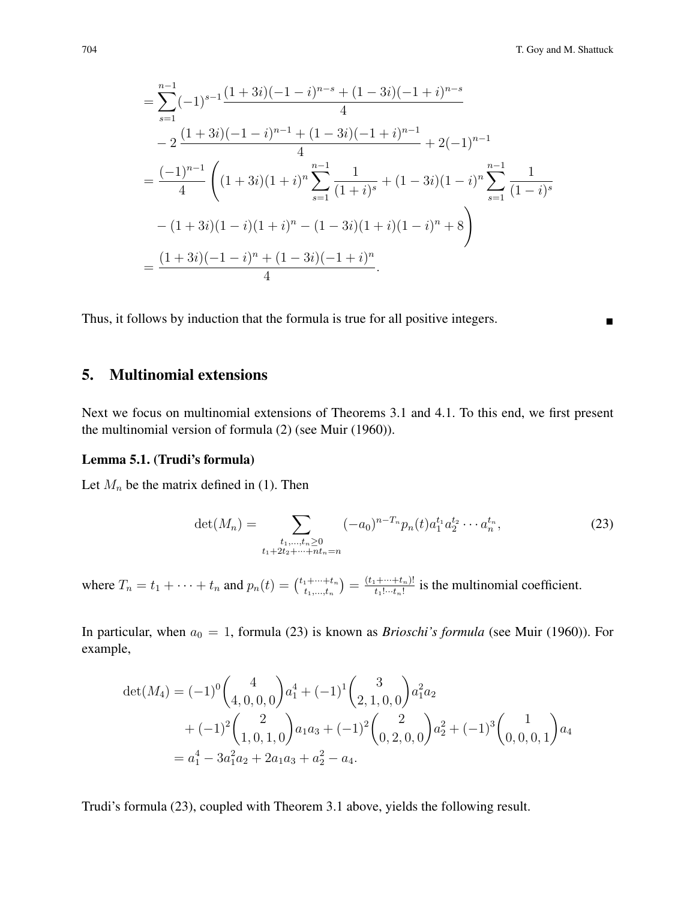$$
= \sum_{s=1}^{n-1} (-1)^{s-1} \frac{(1+3i)(-1-i)^{n-s} + (1-3i)(-1+i)^{n-s}}{4}
$$
  
\n
$$
-2 \frac{(1+3i)(-1-i)^{n-1} + (1-3i)(-1+i)^{n-1}}{4} + 2(-1)^{n-1}
$$
  
\n
$$
= \frac{(-1)^{n-1}}{4} \left( (1+3i)(1+i)^n \sum_{s=1}^{n-1} \frac{1}{(1+i)^s} + (1-3i)(1-i)^n \sum_{s=1}^{n-1} \frac{1}{(1-i)^s} - (1+3i)(1-i)(1+i)^n - (1-3i)(1+i)(1-i)^n + 8 \right)
$$
  
\n
$$
= \frac{(1+3i)(-1-i)^n + (1-3i)(-1+i)^n}{4}.
$$

Thus, it follows by induction that the formula is true for all positive integers.

## 5. Multinomial extensions

Next we focus on multinomial extensions of Theorems 3.1 and 4.1. To this end, we first present the multinomial version of formula (2) (see Muir (1960)).

#### Lemma 5.1. (Trudi's formula)

Let  $M_n$  be the matrix defined in (1). Then

$$
\det(M_n) = \sum_{\substack{t_1,\dots,t_n \ge 0 \\ t_1+2t_2+\dots+nt_n = n}} (-a_0)^{n-T_n} p_n(t) a_1^{t_1} a_2^{t_2} \cdots a_n^{t_n},
$$
\n(23)

where  $T_n = t_1 + \cdots + t_n$  and  $p_n(t) = \binom{t_1 + \cdots + t_n}{t_1 + \cdots + t_n}$  $\binom{t_1+\cdots+t_n}{t_1,\ldots,t_n}=\frac{(t_1+\cdots+t_n)!}{t_1!\cdots t_n!}$  $\frac{1+\cdots+t_n!}{t_1!\cdots t_n!}$  is the multinomial coefficient.

In particular, when  $a_0 = 1$ , formula (23) is known as *Brioschi's formula* (see Muir (1960)). For example,

$$
\det(M_4) = (-1)^0 \binom{4}{4, 0, 0, 0} a_1^4 + (-1)^1 \binom{3}{2, 1, 0, 0} a_1^2 a_2 + (-1)^2 \binom{2}{1, 0, 1, 0} a_1 a_3 + (-1)^2 \binom{2}{0, 2, 0, 0} a_2^2 + (-1)^3 \binom{1}{0, 0, 0, 1} a_4 = a_1^4 - 3a_1^2 a_2 + 2a_1 a_3 + a_2^2 - a_4.
$$

Trudi's formula (23), coupled with Theorem 3.1 above, yields the following result.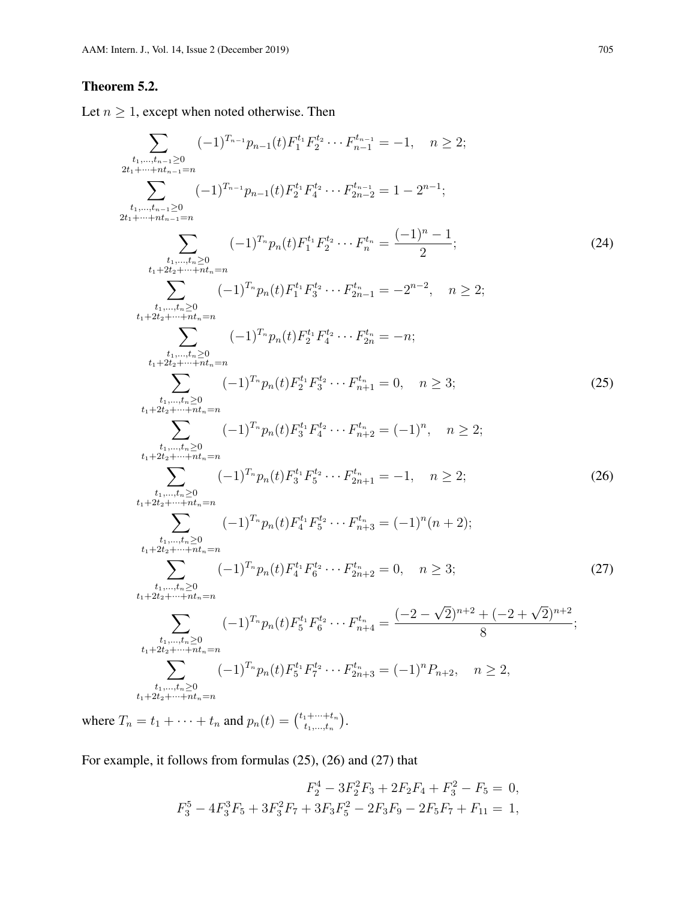## Theorem 5.2.

Let  $n \geq 1$ , except when noted otherwise. Then

$$
\sum_{\substack{t_1,\ldots,t_{n-1}\geq 0\\2t_1+\cdots+t_{n-1}=n\\t_1,\ldots,t_{n-1}\geq 0\\2t_1+\cdots+t_{n-1}=n}}(-1)^{T_{n-1}}p_{n-1}(t)F_2^{t_1}F_4^{t_2}\cdots F_{n-1}^{t_{n-1}} = -1, \quad n \geq 2; \n\sum_{\substack{t_1,\ldots,t_{n-2}\geq 0\\t_1+\cdots+t_{n-2}=n\\t_1+\cdots+t_{n-2}=n\\t_1+\cdots+t_{n-2}=n\\t_1+\cdots+t_{n-2}=n\\t_1+\cdots+t_{n-2}=n\\t_1+\cdots+t_{n-2}=(-1)^{T_p}p_n(t)F_1^{t_1}F_2^{t_2}\cdots F_{2n-1}^{t_n} = -2^{n-2}, \quad n \geq 2; \n\sum_{\substack{t_1,\ldots,t_{n}\geq 0\\t_1+\cdots+t_{n-2}=n\\t_1+\cdots+t_{n-2}=n\\t_1+\cdots+t_{n-2}=n\\t_1+\cdots+t_{n-2}=(-1)^{T_p}p_n(t)F_2^{t_1}F_3^{t_2}\cdots F_{2n}^{t_n} = -n; \n\sum_{\substack{t_1,\ldots,t_{n}\geq 0\\t_1+\cdots+t_{n-2}=n\\t_1+\cdots+t_{n-2}=n\\t_1+\cdots+t_{n-2}=(-1)^{T_p}p_n(t)F_2^{t_1}F_3^{t_2}\cdots F_{n+1}^{t_n} = 0, \quad n \geq 3; \n\sum_{\substack{t_1,\ldots,t_{n}\geq 0\\t_1+\cdots+t_{n-2}=n\\t_1+\cdots+t_{n-2}=(-1)^{T_p}p_n(t)F_3^{t_1}F_4^{t_2}\cdots F_{n+2}^{t_n} = (-1)^n, \quad n \geq 2; \n\sum_{\substack{t_1,\ldots,t_{n}\geq 0\\t_1+\cdots+t_{n-2}=n\\t_1+\cdots+t_{n-2}=(-1)^{T_p}p_n(t)F_3^{t_1}F_5^{t_2}\cdots F_{2n+2}^{t_n} = 0, \quad n \geq 3; \n\sum_{\sub
$$

where  $T_n = t_1 + \cdots + t_n$  and  $p_n(t) = \binom{t_1 + \cdots + t_n}{t_1 + \cdots + t_n}$  $_{t_{1},...,t_{n}}^{1+\cdots+t_{n}}\Big).$ 

For example, it follows from formulas (25), (26) and (27) that

$$
F_2^4 - 3F_2^2F_3 + 2F_2F_4 + F_3^2 - F_5 = 0,
$$
  

$$
F_3^5 - 4F_3^3F_5 + 3F_3^2F_7 + 3F_3F_5^2 - 2F_3F_9 - 2F_5F_7 + F_{11} = 1,
$$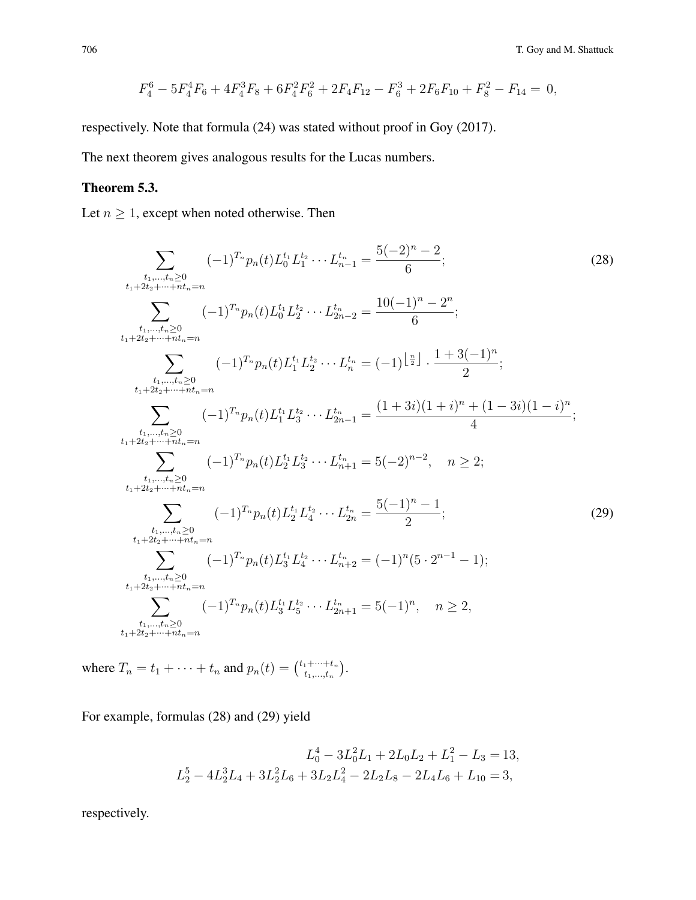$$
F_4^6 - 5F_4^4F_6 + 4F_4^3F_8 + 6F_4^2F_6^2 + 2F_4F_{12} - F_6^3 + 2F_6F_{10} + F_8^2 - F_{14} = 0,
$$

respectively. Note that formula (24) was stated without proof in Goy (2017).

The next theorem gives analogous results for the Lucas numbers.

## Theorem 5.3.

Let  $n \geq 1$ , except when noted otherwise. Then

$$
\sum_{\substack{t_1,\dots,t_n\geq 0\\t_1+2t_2+\dots+nt_n=n}} (-1)^{T_n} p_n(t) L_0^{t_1} L_2^{t_2} \cdots L_{n-1}^{t_n} = \frac{5(-2)^n - 2}{6};
$$
\n
$$
(28)
$$
\n
$$
\sum_{\substack{t_1,\dots,t_n\geq 0\\t_1+2t_2+\dots+nt_n=n}} (-1)^{T_n} p_n(t) L_0^{t_1} L_2^{t_2} \cdots L_{2n-2}^{t_n} = \frac{10(-1)^n - 2^n}{6};
$$
\n
$$
\sum_{\substack{t_1,\dots,t_n\geq 0\\t_1+2t_2+\dots+nt_n=n}} (-1)^{T_n} p_n(t) L_1^{t_1} L_2^{t_2} \cdots L_n^{t_n} = (-1)^{\left\lfloor \frac{n}{2} \right\rfloor} \cdot \frac{1+3(-1)^n}{2};
$$
\n
$$
\sum_{\substack{t_1,\dots,t_n\geq 0\\t_1+2t_2+\dots+nt_n=n}} (-1)^{T_n} p_n(t) L_1^{t_1} L_3^{t_2} \cdots L_{2n-1}^{t_n} = \frac{(1+3i)(1+i)^n + (1-3i)(1-i)^n}{4};
$$
\n
$$
\sum_{\substack{t_1,\dots,t_n\geq 0\\t_1+2t_2+\dots+nt_n=n}} (-1)^{T_n} p_n(t) L_2^{t_1} L_3^{t_2} \cdots L_{n+1}^{t_n} = 5(-2)^{n-2}, \quad n \geq 2;
$$
\n
$$
\sum_{\substack{t_1,\dots,t_n\geq 0\\t_1+2t_2+\dots+nt_n=n}} (-1)^{T_n} p_n(t) L_2^{t_1} L_2^{t_2} \cdots L_{2n}^{t_n} = \frac{5(-1)^n - 1}{2};
$$
\n
$$
\sum_{\substack{t_1,\dots,t_n\geq 0\\t_1+2t_2+\dots+nt_n=n}} (-1)^{T_n} p_n(t) L_3^{t_1} L_2^{t_2} \cdots L_{2n+1}^{t_n} = 5(-1)^n, \quad n \geq 2,
$$
\n
$$
\sum_{\substack{t_1,\dots,t_n\geq
$$

where  $T_n = t_1 + \cdots + t_n$  and  $p_n(t) = \binom{t_1 + \cdots + t_n}{t_1 + \cdots + t_n}$  $_{t_{1},...,t_{n}}^{1+\cdots+t_{n}}\Big).$ 

For example, formulas (28) and (29) yield

$$
L_0^4 - 3L_0^2L_1 + 2L_0L_2 + L_1^2 - L_3 = 13,
$$
  

$$
L_2^5 - 4L_2^3L_4 + 3L_2^2L_6 + 3L_2L_4^2 - 2L_2L_8 - 2L_4L_6 + L_{10} = 3,
$$

respectively.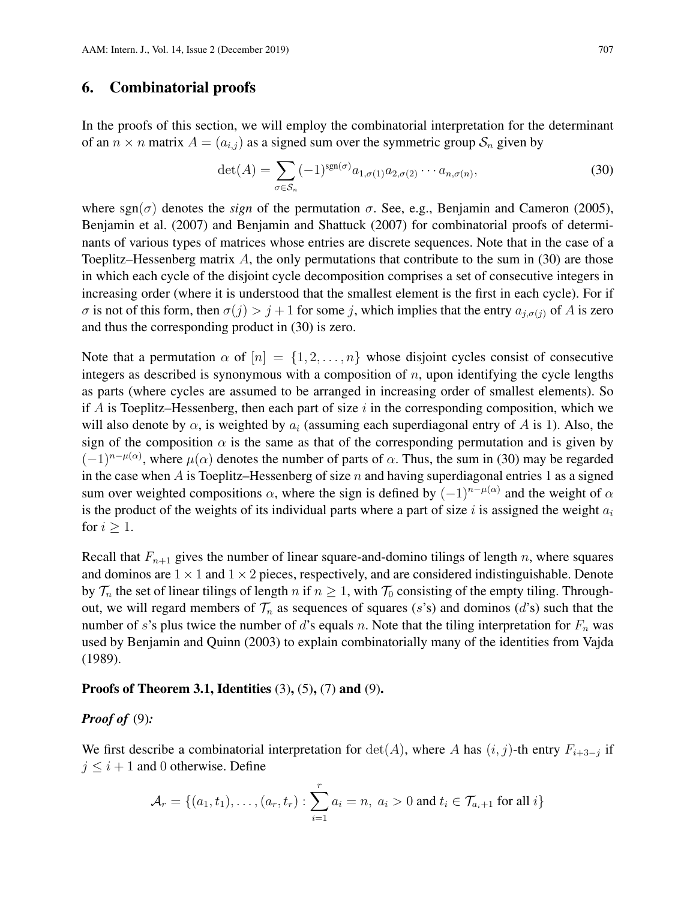## 6. Combinatorial proofs

In the proofs of this section, we will employ the combinatorial interpretation for the determinant of an  $n \times n$  matrix  $A = (a_{i,j})$  as a signed sum over the symmetric group  $S_n$  given by

$$
\det(A) = \sum_{\sigma \in S_n} (-1)^{\text{sgn}(\sigma)} a_{1,\sigma(1)} a_{2,\sigma(2)} \cdots a_{n,\sigma(n)},
$$
\n(30)

where  $sgn(\sigma)$  denotes the *sign* of the permutation  $\sigma$ . See, e.g., Benjamin and Cameron (2005), Benjamin et al. (2007) and Benjamin and Shattuck (2007) for combinatorial proofs of determinants of various types of matrices whose entries are discrete sequences. Note that in the case of a Toeplitz–Hessenberg matrix  $A$ , the only permutations that contribute to the sum in (30) are those in which each cycle of the disjoint cycle decomposition comprises a set of consecutive integers in increasing order (where it is understood that the smallest element is the first in each cycle). For if  $\sigma$  is not of this form, then  $\sigma(j) > j + 1$  for some j, which implies that the entry  $a_{j,\sigma(j)}$  of A is zero and thus the corresponding product in (30) is zero.

Note that a permutation  $\alpha$  of  $[n] = \{1, 2, ..., n\}$  whose disjoint cycles consist of consecutive integers as described is synonymous with a composition of  $n$ , upon identifying the cycle lengths as parts (where cycles are assumed to be arranged in increasing order of smallest elements). So if A is Toeplitz–Hessenberg, then each part of size  $i$  in the corresponding composition, which we will also denote by  $\alpha$ , is weighted by  $a_i$  (assuming each superdiagonal entry of A is 1). Also, the sign of the composition  $\alpha$  is the same as that of the corresponding permutation and is given by  $(-1)^{n-\mu(\alpha)}$ , where  $\mu(\alpha)$  denotes the number of parts of  $\alpha$ . Thus, the sum in (30) may be regarded in the case when A is Toeplitz–Hessenberg of size  $n$  and having superdiagonal entries 1 as a signed sum over weighted compositions  $\alpha$ , where the sign is defined by  $(-1)^{n-\mu(\alpha)}$  and the weight of  $\alpha$ is the product of the weights of its individual parts where a part of size i is assigned the weight  $a_i$ for  $i \geq 1$ .

Recall that  $F_{n+1}$  gives the number of linear square-and-domino tilings of length n, where squares and dominos are  $1 \times 1$  and  $1 \times 2$  pieces, respectively, and are considered indistinguishable. Denote by  $\mathcal{T}_n$  the set of linear tilings of length n if  $n \geq 1$ , with  $\mathcal{T}_0$  consisting of the empty tiling. Throughout, we will regard members of  $\mathcal{T}_n$  as sequences of squares (s's) and dominos (d's) such that the number of s's plus twice the number of d's equals n. Note that the tiling interpretation for  $F_n$  was used by Benjamin and Quinn (2003) to explain combinatorially many of the identities from Vajda (1989).

#### Proofs of Theorem 3.1, Identities  $(3)$ ,  $(5)$ ,  $(7)$  and  $(9)$ .

#### *Proof of* (9)*:*

We first describe a combinatorial interpretation for  $\det(A)$ , where A has  $(i, j)$ -th entry  $F_{i+3-j}$  if  $j \leq i + 1$  and 0 otherwise. Define

$$
\mathcal{A}_r = \{(a_1, t_1), \dots, (a_r, t_r) : \sum_{i=1}^r a_i = n, a_i > 0 \text{ and } t_i \in \mathcal{T}_{a_i+1} \text{ for all } i\}
$$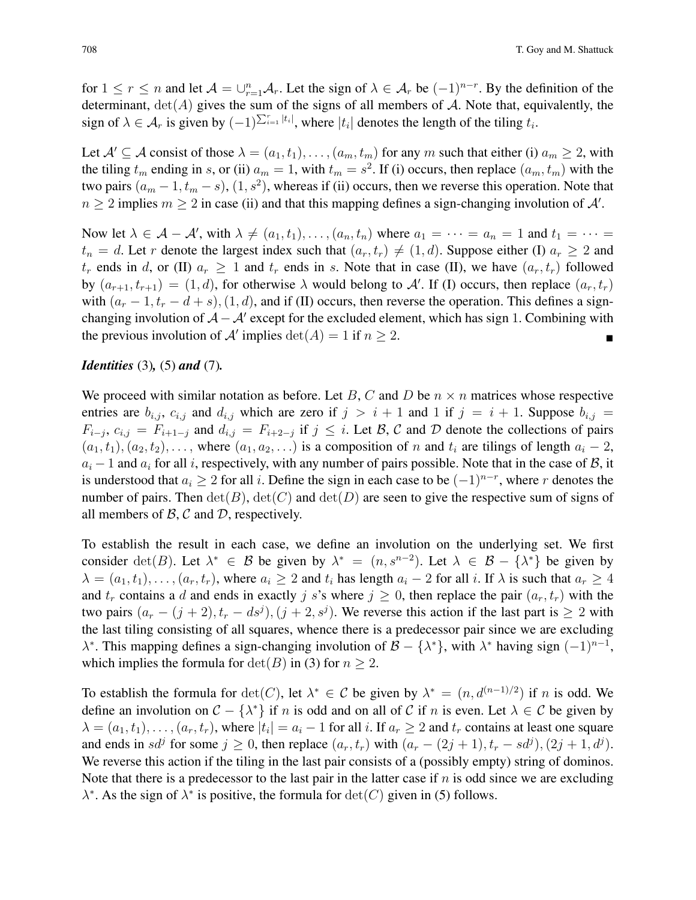for  $1 \le r \le n$  and let  $\mathcal{A} = \bigcup_{r=1}^n \mathcal{A}_r$ . Let the sign of  $\lambda \in \mathcal{A}_r$  be  $(-1)^{n-r}$ . By the definition of the determinant,  $det(A)$  gives the sum of the signs of all members of A. Note that, equivalently, the sign of  $\lambda \in \mathcal{A}_r$  is given by  $(-1)^{\sum_{i=1}^r |t_i|}$ , where  $|t_i|$  denotes the length of the tiling  $t_i$ .

Let  $\mathcal{A}' \subseteq \mathcal{A}$  consist of those  $\lambda = (a_1, t_1), \ldots, (a_m, t_m)$  for any m such that either (i)  $a_m \geq 2$ , with the tiling  $t_m$  ending in s, or (ii)  $a_m = 1$ , with  $t_m = s^2$ . If (i) occurs, then replace  $(a_m, t_m)$  with the two pairs  $(a_m - 1, t_m - s)$ ,  $(1, s^2)$ , whereas if (ii) occurs, then we reverse this operation. Note that  $n \geq 2$  implies  $m \geq 2$  in case (ii) and that this mapping defines a sign-changing involution of  $\mathcal{A}'$ .

Now let  $\lambda \in \mathcal{A} - \mathcal{A}'$ , with  $\lambda \neq (a_1, t_1), \ldots, (a_n, t_n)$  where  $a_1 = \cdots = a_n = 1$  and  $t_1 = \cdots =$  $t_n = d$ . Let r denote the largest index such that  $(a_r, t_r) \neq (1, d)$ . Suppose either (I)  $a_r \geq 2$  and  $t_r$  ends in d, or (II)  $a_r \ge 1$  and  $t_r$  ends in s. Note that in case (II), we have  $(a_r, t_r)$  followed by  $(a_{r+1}, t_{r+1}) = (1, d)$ , for otherwise  $\lambda$  would belong to A'. If (I) occurs, then replace  $(a_r, t_r)$ with  $(a_r - 1, t_r - d + s)$ ,  $(1, d)$ , and if (II) occurs, then reverse the operation. This defines a signchanging involution of  $A - A'$  except for the excluded element, which has sign 1. Combining with the previous involution of A' implies  $\det(A) = 1$  if  $n \ge 2$ .

#### *Identities* (3)*,* (5) *and* (7)*.*

We proceed with similar notation as before. Let B, C and D be  $n \times n$  matrices whose respective entries are  $b_{i,j}$ ,  $c_{i,j}$  and  $d_{i,j}$  which are zero if  $j > i + 1$  and 1 if  $j = i + 1$ . Suppose  $b_{i,j}$  $F_{i-j}, c_{i,j} = F_{i+1-j}$  and  $d_{i,j} = F_{i+2-j}$  if  $j \leq i$ . Let  $\mathcal{B}, \mathcal{C}$  and  $\mathcal{D}$  denote the collections of pairs  $(a_1, t_1), (a_2, t_2), \ldots$ , where  $(a_1, a_2, \ldots)$  is a composition of n and  $t_i$  are tilings of length  $a_i - 2$ ,  $a_i - 1$  and  $a_i$  for all i, respectively, with any number of pairs possible. Note that in the case of  $\mathcal{B}$ , it is understood that  $a_i \geq 2$  for all i. Define the sign in each case to be  $(-1)^{n-r}$ , where r denotes the number of pairs. Then  $\det(B)$ ,  $\det(C)$  and  $\det(D)$  are seen to give the respective sum of signs of all members of  $\beta$ ,  $\beta$  and  $\mathcal{D}$ , respectively.

To establish the result in each case, we define an involution on the underlying set. We first consider  $\det(B)$ . Let  $\lambda^* \in \mathcal{B}$  be given by  $\lambda^* = (n, s^{n-2})$ . Let  $\lambda \in \mathcal{B} - \{\lambda^*\}$  be given by  $\lambda = (a_1, t_1), \ldots, (a_r, t_r)$ , where  $a_i \geq 2$  and  $t_i$  has length  $a_i - 2$  for all i. If  $\lambda$  is such that  $a_r \geq 4$ and  $t_r$  contains a d and ends in exactly j s's where  $j \ge 0$ , then replace the pair  $(a_r, t_r)$  with the two pairs  $(a_r - (j + 2), t_r - ds^j), (j + 2, s^j)$ . We reverse this action if the last part is  $\geq 2$  with the last tiling consisting of all squares, whence there is a predecessor pair since we are excluding  $\lambda^*$ . This mapping defines a sign-changing involution of  $\mathcal{B} - \{\lambda^*\}$ , with  $\lambda^*$  having sign  $(-1)^{n-1}$ , which implies the formula for  $\det(B)$  in (3) for  $n > 2$ .

To establish the formula for  $\det(C)$ , let  $\lambda^* \in \mathcal{C}$  be given by  $\lambda^* = (n, d^{(n-1)/2})$  if n is odd. We define an involution on  $C - \{\lambda^*\}$  if n is odd and on all of C if n is even. Let  $\lambda \in C$  be given by  $\lambda = (a_1, t_1), \ldots, (a_r, t_r)$ , where  $|t_i| = a_i - 1$  for all i. If  $a_r \ge 2$  and  $t_r$  contains at least one square and ends in  $sd^j$  for some  $j \ge 0$ , then replace  $(a_r, t_r)$  with  $(a_r - (2j + 1), t_r - sd^j)$ ,  $(2j + 1, d^j)$ . We reverse this action if the tiling in the last pair consists of a (possibly empty) string of dominos. Note that there is a predecessor to the last pair in the latter case if  $n$  is odd since we are excluding  $\lambda^*$ . As the sign of  $\lambda^*$  is positive, the formula for  $\det(C)$  given in (5) follows.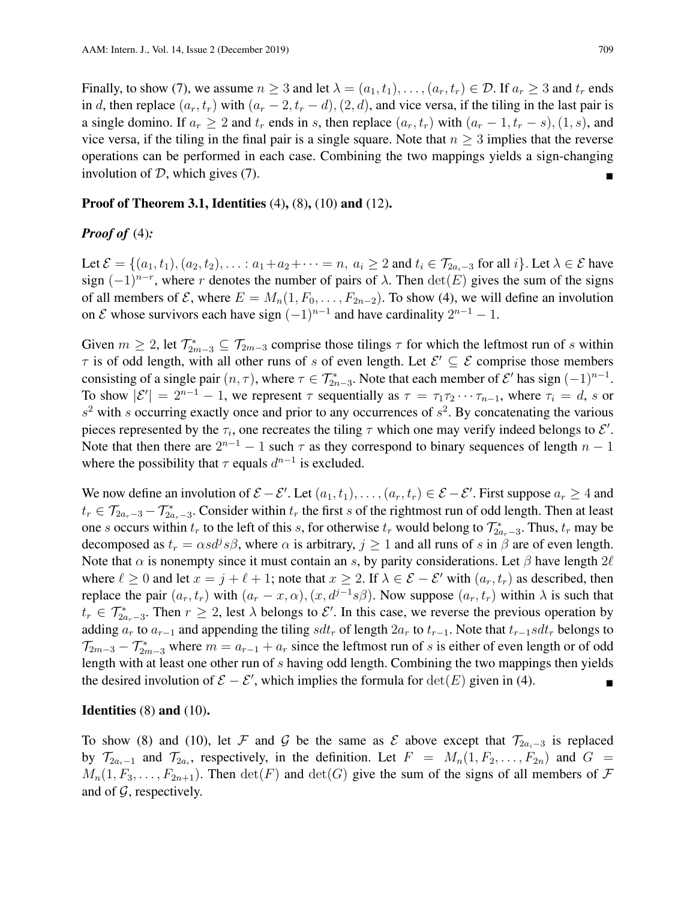Finally, to show (7), we assume  $n \geq 3$  and let  $\lambda = (a_1, t_1), \dots, (a_r, t_r) \in \mathcal{D}$ . If  $a_r \geq 3$  and  $t_r$  ends in d, then replace  $(a_r, t_r)$  with  $(a_r - 2, t_r - d)$ ,  $(2, d)$ , and vice versa, if the tiling in the last pair is a single domino. If  $a_r \geq 2$  and  $t_r$  ends in s, then replace  $(a_r, t_r)$  with  $(a_r - 1, t_r - s)$ ,  $(1, s)$ , and vice versa, if the tiling in the final pair is a single square. Note that  $n \geq 3$  implies that the reverse operations can be performed in each case. Combining the two mappings yields a sign-changing involution of  $D$ , which gives  $(7)$ .

#### Proof of Theorem 3.1, Identities (4), (8), (10) and (12).

## *Proof of* (4)*:*

Let  $\mathcal{E} = \{(a_1, t_1), (a_2, t_2), \ldots : a_1 + a_2 + \cdots = n, a_i \geq 2 \text{ and } t_i \in \mathcal{T}_{2a_i-3} \text{ for all } i\}$ . Let  $\lambda \in \mathcal{E}$  have sign  $(-1)^{n-r}$ , where r denotes the number of pairs of  $\lambda$ . Then  $\det(E)$  gives the sum of the signs of all members of  $\mathcal{E}$ , where  $E = M_n(1, F_0, \ldots, F_{2n-2})$ . To show (4), we will define an involution on  $\mathcal E$  whose survivors each have sign  $(-1)^{n-1}$  and have cardinality  $2^{n-1} - 1$ .

Given  $m \geq 2$ , let  $\mathcal{T}_{2m-3}^* \subseteq \mathcal{T}_{2m-3}$  comprise those tilings  $\tau$  for which the leftmost run of s within  $\tau$  is of odd length, with all other runs of s of even length. Let  $\mathcal{E}' \subseteq \mathcal{E}$  comprise those members consisting of a single pair  $(n, \tau)$ , where  $\tau \in \mathcal{T}_{2n-3}^*$ . Note that each member of  $\mathcal{E}'$  has sign  $(-1)^{n-1}$ . To show  $|\mathcal{E}'| = 2^{n-1} - 1$ , we represent  $\tau$  sequentially as  $\tau = \tau_1 \tau_2 \cdots \tau_{n-1}$ , where  $\tau_i = d$ , s or  $s<sup>2</sup>$  with s occurring exactly once and prior to any occurrences of  $s<sup>2</sup>$ . By concatenating the various pieces represented by the  $\tau_i$ , one recreates the tiling  $\tau$  which one may verify indeed belongs to  $\mathcal{E}'$ . Note that then there are  $2^{n-1} - 1$  such  $\tau$  as they correspond to binary sequences of length  $n - 1$ where the possibility that  $\tau$  equals  $d^{n-1}$  is excluded.

We now define an involution of  $\mathcal{E} - \mathcal{E}'$ . Let  $(a_1, t_1), \ldots, (a_r, t_r) \in \mathcal{E} - \mathcal{E}'$ . First suppose  $a_r \ge 4$  and  $t_r \in \mathcal{T}_{2a_r-3} - \mathcal{T}_{2a_r-3}^*$ . Consider within  $t_r$  the first s of the rightmost run of odd length. Then at least one s occurs within  $t_r$  to the left of this s, for otherwise  $t_r$  would belong to  $\mathcal{T}^*_{2a_r-3}$ . Thus,  $t_r$  may be decomposed as  $t_r = \alpha s d^j s \beta$ , where  $\alpha$  is arbitrary,  $j \ge 1$  and all runs of s in  $\beta$  are of even length. Note that  $\alpha$  is nonempty since it must contain an s, by parity considerations. Let  $\beta$  have length  $2\ell$ where  $\ell \ge 0$  and let  $x = j + \ell + 1$ ; note that  $x \ge 2$ . If  $\lambda \in \mathcal{E} - \mathcal{E}'$  with  $(a_r, t_r)$  as described, then replace the pair  $(a_r, t_r)$  with  $(a_r - x, \alpha)$ ,  $(x, d^{j-1}s\beta)$ . Now suppose  $(a_r, t_r)$  within  $\lambda$  is such that  $t_r \in \mathcal{T}_{2a_r-3}^*$ . Then  $r \geq 2$ , lest  $\lambda$  belongs to  $\mathcal{E}'$ . In this case, we reverse the previous operation by adding  $a_r$  to  $a_{r-1}$  and appending the tiling  $sdt_r$  of length  $2a_r$  to  $t_{r-1}$ . Note that  $t_{r-1} sdt_r$  belongs to  $\mathcal{T}_{2m-3} - \mathcal{T}_{2m-3}^*$  where  $m = a_{r-1} + a_r$  since the leftmost run of s is either of even length or of odd length with at least one other run of s having odd length. Combining the two mappings then yields the desired involution of  $\mathcal{E} - \mathcal{E}'$ , which implies the formula for  $\det(E)$  given in (4).

#### **Identities**  $(8)$  and  $(10)$ .

To show (8) and (10), let F and G be the same as E above except that  $\mathcal{T}_{2a_i-3}$  is replaced by  $\mathcal{T}_{2a_i-1}$  and  $\mathcal{T}_{2a_i}$ , respectively, in the definition. Let  $F = M_n(1, F_2, \ldots, F_{2n})$  and  $G =$  $M_n(1, F_3, \ldots, F_{2n+1})$ . Then  $\det(F)$  and  $\det(G)$  give the sum of the signs of all members of  $\mathcal F$ and of  $\mathcal{G}$ , respectively.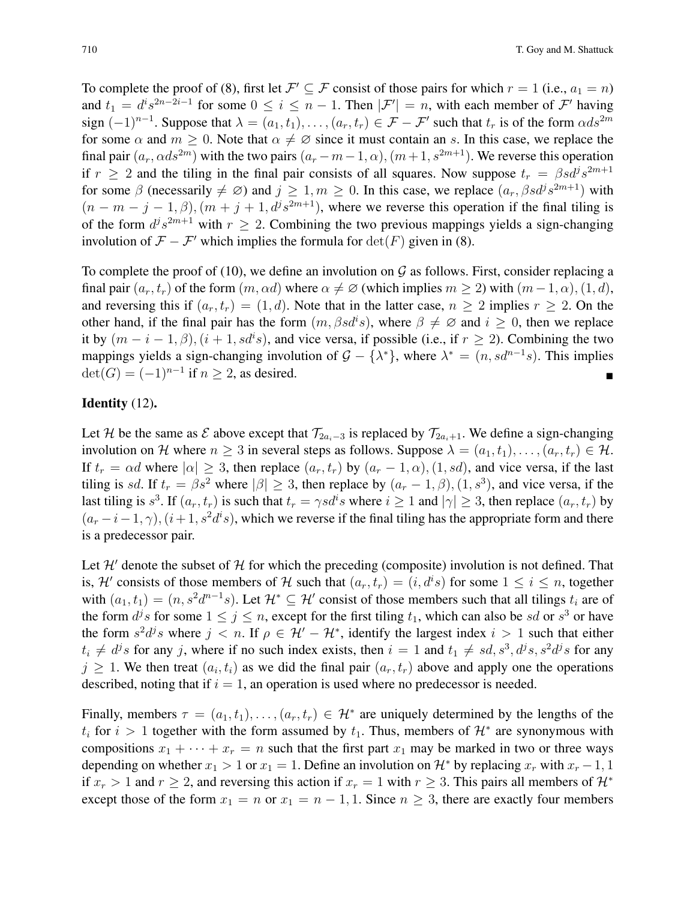To complete the proof of (8), first let  $\mathcal{F}' \subseteq \mathcal{F}$  consist of those pairs for which  $r = 1$  (i.e.,  $a_1 = n$ ) and  $t_1 = d^i s^{2n-2i-1}$  for some  $0 \le i \le n-1$ . Then  $|\mathcal{F}'| = n$ , with each member of  $\mathcal{F}'$  having sign  $(-1)^{n-1}$ . Suppose that  $\lambda = (a_1, t_1), \ldots, (a_r, t_r) \in \mathcal{F} - \mathcal{F}'$  such that  $t_r$  is of the form  $\alpha ds^{2m}$ for some  $\alpha$  and  $m > 0$ . Note that  $\alpha \neq \emptyset$  since it must contain an s. In this case, we replace the final pair  $(a_r, \alpha ds^{2m})$  with the two pairs  $(a_r - m - 1, \alpha)$ ,  $(m + 1, s^{2m+1})$ . We reverse this operation if  $r \geq 2$  and the tiling in the final pair consists of all squares. Now suppose  $t_r = \beta s d^j s^{2m+1}$ for some  $\beta$  (necessarily  $\neq \emptyset$ ) and  $j \geq 1, m \geq 0$ . In this case, we replace  $(a_r, \beta s d^j s^{2m+1})$  with  $(n - m - j - 1, \beta), (m + j + 1, d^{j} s^{2m+1})$ , where we reverse this operation if the final tiling is of the form  $d^j s^{2m+1}$  with  $r \geq 2$ . Combining the two previous mappings yields a sign-changing involution of  $\mathcal{F} - \mathcal{F}'$  which implies the formula for  $\det(F)$  given in (8).

To complete the proof of (10), we define an involution on  $\mathcal G$  as follows. First, consider replacing a final pair  $(a_r, t_r)$  of the form  $(m, \alpha d)$  where  $\alpha \neq \emptyset$  (which implies  $m > 2$ ) with  $(m - 1, \alpha)$ ,  $(1, d)$ , and reversing this if  $(a_r, t_r) = (1, d)$ . Note that in the latter case,  $n \geq 2$  implies  $r \geq 2$ . On the other hand, if the final pair has the form  $(m, \beta s d^i s)$ , where  $\beta \neq \emptyset$  and  $i \geq 0$ , then we replace it by  $(m - i - 1, \beta), (i + 1, sd^i s)$ , and vice versa, if possible (i.e., if  $r \ge 2$ ). Combining the two mappings yields a sign-changing involution of  $G - \{\lambda^*\}$ , where  $\lambda^* = (n, sd^{n-1}s)$ . This implies  $\det(G) = (-1)^{n-1}$  if  $n \geq 2$ , as desired.

### Identity (12).

Let H be the same as E above except that  $\mathcal{T}_{2a_i-3}$  is replaced by  $\mathcal{T}_{2a_i+1}$ . We define a sign-changing involution on H where  $n \geq 3$  in several steps as follows. Suppose  $\lambda = (a_1, t_1), \ldots, (a_r, t_r) \in \mathcal{H}$ . If  $t_r = \alpha d$  where  $|\alpha| \geq 3$ , then replace  $(a_r, t_r)$  by  $(a_r - 1, \alpha)$ ,  $(1, sd)$ , and vice versa, if the last tiling is sd. If  $t_r = \beta s^2$  where  $|\beta| \ge 3$ , then replace by  $(a_r - 1, \beta), (1, s^3)$ , and vice versa, if the last tiling is  $s^3$ . If  $(a_r, t_r)$  is such that  $t_r = \gamma s d^i s$  where  $i \ge 1$  and  $|\gamma| \ge 3$ , then replace  $(a_r, t_r)$  by  $(a_r - i - 1, \gamma)$ ,  $(i + 1, s^2 d^i s)$ , which we reverse if the final tiling has the appropriate form and there is a predecessor pair.

Let  $\mathcal{H}'$  denote the subset of  $\mathcal H$  for which the preceding (composite) involution is not defined. That is, H' consists of those members of H such that  $(a_r, t_r) = (i, d^i s)$  for some  $1 \le i \le n$ , together with  $(a_1, t_1) = (n, s^2 d^{n-1} s)$ . Let  $\mathcal{H}^* \subseteq \mathcal{H}'$  consist of those members such that all tilings  $t_i$  are of the form  $d^j s$  for some  $1 \le j \le n$ , except for the first tiling  $t_1$ , which can also be sd or  $s^3$  or have the form  $s^2 d^j s$  where  $j < n$ . If  $\rho \in H' - H^*$ , identify the largest index  $i > 1$  such that either  $t_i \neq d^j s$  for any j, where if no such index exists, then  $i = 1$  and  $t_1 \neq sd$ ,  $s^3$ ,  $d^j s$ ,  $s^2 d^j s$  for any  $j \geq 1$ . We then treat  $(a_i, t_i)$  as we did the final pair  $(a_r, t_r)$  above and apply one the operations described, noting that if  $i = 1$ , an operation is used where no predecessor is needed.

Finally, members  $\tau = (a_1, t_1), \ldots, (a_r, t_r) \in \mathcal{H}^*$  are uniquely determined by the lengths of the  $t_i$  for  $i > 1$  together with the form assumed by  $t_1$ . Thus, members of  $\mathcal{H}^*$  are synonymous with compositions  $x_1 + \cdots + x_r = n$  such that the first part  $x_1$  may be marked in two or three ways depending on whether  $x_1 > 1$  or  $x_1 = 1$ . Define an involution on  $\mathcal{H}^*$  by replacing  $x_r$  with  $x_r - 1$ , 1 if  $x_r > 1$  and  $r \geq 2$ , and reversing this action if  $x_r = 1$  with  $r \geq 3$ . This pairs all members of  $\mathcal{H}^*$ except those of the form  $x_1 = n$  or  $x_1 = n - 1, 1$ . Since  $n \geq 3$ , there are exactly four members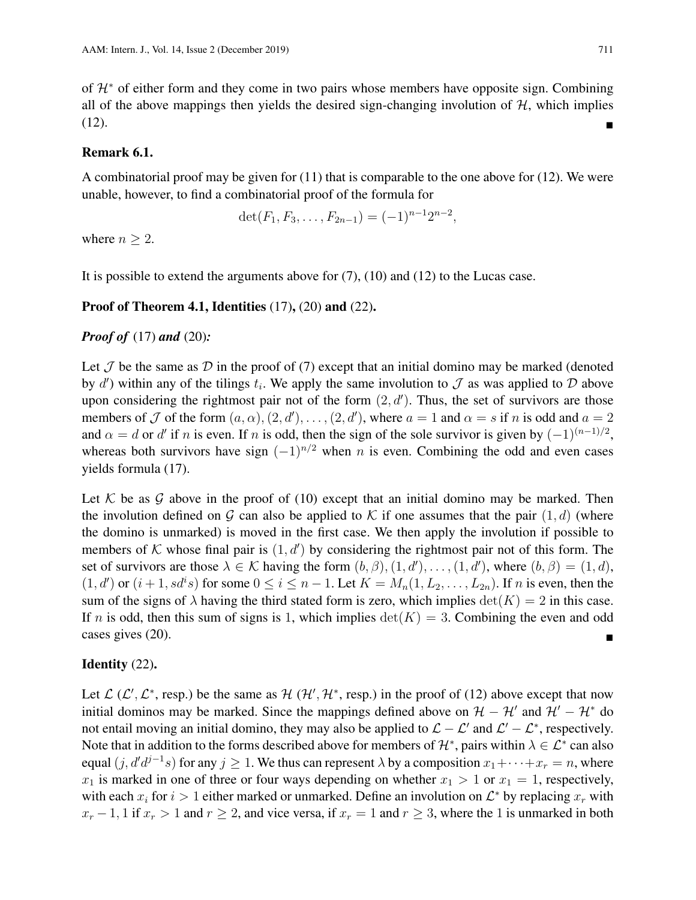of H<sup>∗</sup> of either form and they come in two pairs whose members have opposite sign. Combining all of the above mappings then yields the desired sign-changing involution of  $H$ , which implies (12).

#### Remark 6.1.

A combinatorial proof may be given for  $(11)$  that is comparable to the one above for  $(12)$ . We were unable, however, to find a combinatorial proof of the formula for

$$
\det(F_1, F_3, \ldots, F_{2n-1}) = (-1)^{n-1} 2^{n-2},
$$

where  $n > 2$ .

It is possible to extend the arguments above for  $(7)$ ,  $(10)$  and  $(12)$  to the Lucas case.

#### **Proof of Theorem 4.1, Identities**  $(17)$ ,  $(20)$  and  $(22)$ .

#### *Proof of* (17) *and* (20)*:*

Let  $\mathcal J$  be the same as  $\mathcal D$  in the proof of (7) except that an initial domino may be marked (denoted by d') within any of the tilings  $t_i$ . We apply the same involution to  $\mathcal J$  as was applied to  $\mathcal D$  above upon considering the rightmost pair not of the form  $(2, d')$ . Thus, the set of survivors are those members of  $\mathcal J$  of the form  $(a, \alpha), (2, d'), \dots, (2, d')$ , where  $a = 1$  and  $\alpha = s$  if n is odd and  $a = 2$ and  $\alpha = d$  or d' if n is even. If n is odd, then the sign of the sole survivor is given by  $(-1)^{(n-1)/2}$ , whereas both survivors have sign  $(-1)^{n/2}$  when n is even. Combining the odd and even cases yields formula (17).

Let K be as G above in the proof of (10) except that an initial domino may be marked. Then the involution defined on G can also be applied to K if one assumes that the pair  $(1, d)$  (where the domino is unmarked) is moved in the first case. We then apply the involution if possible to members of K whose final pair is  $(1, d')$  by considering the rightmost pair not of this form. The set of survivors are those  $\lambda \in \mathcal{K}$  having the form  $(b, \beta), (1, d'), \dots, (1, d')$ , where  $(b, \beta) = (1, d)$ ,  $(1, d')$  or  $(i + 1, sd^i s)$  for some  $0 \le i \le n - 1$ . Let  $K = M_n(1, L_2, \ldots, L_{2n})$ . If n is even, then the sum of the signs of  $\lambda$  having the third stated form is zero, which implies  $\det(K) = 2$  in this case. If n is odd, then this sum of signs is 1, which implies  $\det(K) = 3$ . Combining the even and odd cases gives (20).

#### Identity (22).

Let  $\mathcal{L}(\mathcal{L}', \mathcal{L}^*)$ , resp.) be the same as  $\mathcal{H}(\mathcal{H}', \mathcal{H}^*)$ , resp.) in the proof of (12) above except that now initial dominos may be marked. Since the mappings defined above on  $\mathcal{H} - \mathcal{H}'$  and  $\mathcal{H}' - \mathcal{H}^*$  do not entail moving an initial domino, they may also be applied to  $\mathcal{L} - \mathcal{L}'$  and  $\mathcal{L}' - \mathcal{L}^*$ , respectively. Note that in addition to the forms described above for members of  $\mathcal{H}^*$ , pairs within  $\lambda \in \mathcal{L}^*$  can also equal  $(j, d'd^{j-1}s)$  for any  $j \ge 1$ . We thus can represent  $\lambda$  by a composition  $x_1 + \cdots + x_r = n$ , where  $x_1$  is marked in one of three or four ways depending on whether  $x_1 > 1$  or  $x_1 = 1$ , respectively, with each  $x_i$  for  $i > 1$  either marked or unmarked. Define an involution on  $\mathcal{L}^*$  by replacing  $x_r$  with  $x_r - 1$ , 1 if  $x_r > 1$  and  $r \ge 2$ , and vice versa, if  $x_r = 1$  and  $r \ge 3$ , where the 1 is unmarked in both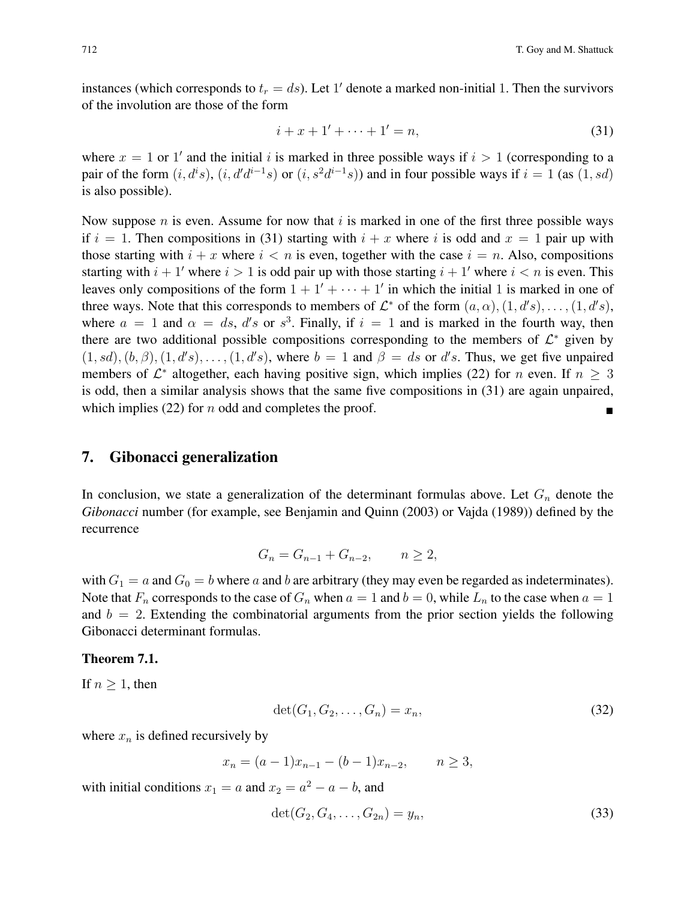instances (which corresponds to  $t_r = ds$ ). Let 1' denote a marked non-initial 1. Then the survivors of the involution are those of the form

$$
i + x + 1' + \dots + 1' = n,\tag{31}
$$

where  $x = 1$  or 1' and the initial i is marked in three possible ways if  $i > 1$  (corresponding to a pair of the form  $(i, d^i s)$ ,  $(i, d'd^{i-1}s)$  or  $(i, s^2d^{i-1}s)$ ) and in four possible ways if  $i = 1$  (as  $(1, sd)$ is also possible).

Now suppose n is even. Assume for now that i is marked in one of the first three possible ways if  $i = 1$ . Then compositions in (31) starting with  $i + x$  where i is odd and  $x = 1$  pair up with those starting with  $i + x$  where  $i < n$  is even, together with the case  $i = n$ . Also, compositions starting with  $i + 1'$  where  $i > 1$  is odd pair up with those starting  $i + 1'$  where  $i < n$  is even. This leaves only compositions of the form  $1 + 1' + \cdots + 1'$  in which the initial 1 is marked in one of three ways. Note that this corresponds to members of  $\mathcal{L}^*$  of the form  $(a, \alpha), (1, d's), \ldots, (1, d's)$ , where  $a = 1$  and  $\alpha = ds$ , d's or s<sup>3</sup>. Finally, if  $i = 1$  and is marked in the fourth way, then there are two additional possible compositions corresponding to the members of  $\mathcal{L}^*$  given by  $(1, sd), (b, \beta), (1, d's), \ldots, (1, d's),$  where  $b = 1$  and  $\beta = ds$  or d's. Thus, we get five unpaired members of  $\mathcal{L}^*$  altogether, each having positive sign, which implies (22) for *n* even. If  $n \geq 3$ is odd, then a similar analysis shows that the same five compositions in (31) are again unpaired, which implies (22) for n odd and completes the proof.

## 7. Gibonacci generalization

In conclusion, we state a generalization of the determinant formulas above. Let  $G_n$  denote the *Gibonacci* number (for example, see Benjamin and Quinn (2003) or Vajda (1989)) defined by the recurrence

$$
G_n = G_{n-1} + G_{n-2}, \qquad n \ge 2,
$$

with  $G_1 = a$  and  $G_0 = b$  where a and b are arbitrary (they may even be regarded as indeterminates). Note that  $F_n$  corresponds to the case of  $G_n$  when  $a = 1$  and  $b = 0$ , while  $L_n$  to the case when  $a = 1$ and  $b = 2$ . Extending the combinatorial arguments from the prior section yields the following Gibonacci determinant formulas.

#### Theorem 7.1.

If  $n \geq 1$ , then

$$
\det(G_1, G_2, \dots, G_n) = x_n,\tag{32}
$$

where  $x_n$  is defined recursively by

$$
x_n = (a-1)x_{n-1} - (b-1)x_{n-2}, \qquad n \ge 3,
$$

with initial conditions  $x_1 = a$  and  $x_2 = a^2 - a - b$ , and

$$
\det(G_2, G_4, \dots, G_{2n}) = y_n,
$$
\n(33)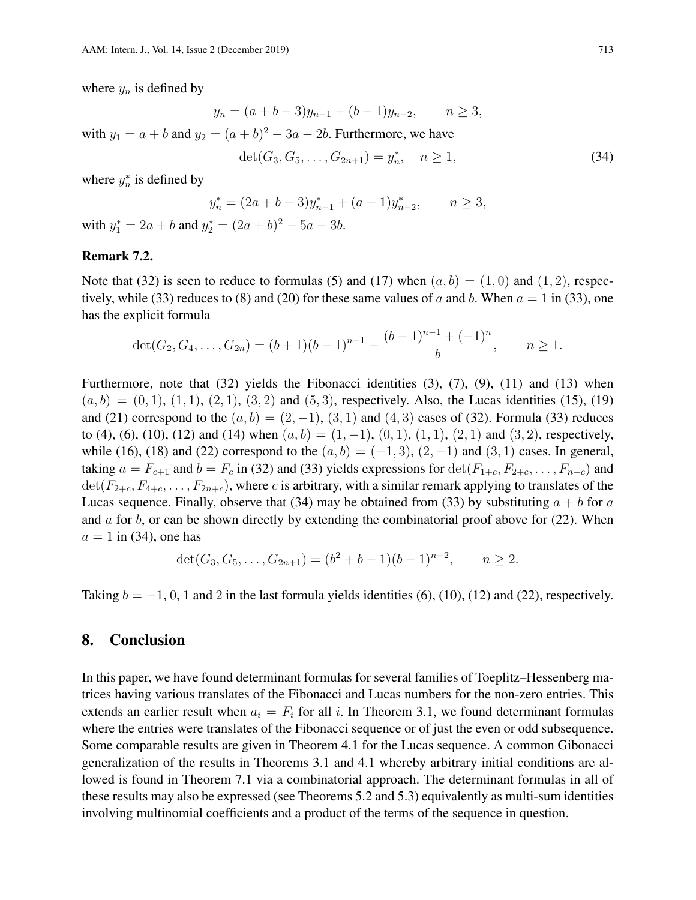where  $y_n$  is defined by

$$
y_n = (a+b-3)y_{n-1} + (b-1)y_{n-2}, \qquad n \ge 3,
$$

with  $y_1 = a + b$  and  $y_2 = (a + b)^2 - 3a - 2b$ . Furthermore, we have

$$
\det(G_3, G_5, \dots, G_{2n+1}) = y_n^*, \quad n \ge 1,
$$
\n(34)

where  $y_n^*$  is defined by

$$
y_n^* = (2a + b - 3)y_{n-1}^* + (a - 1)y_{n-2}^*, \qquad n \ge 3,
$$

with  $y_1^* = 2a + b$  and  $y_2^* = (2a + b)^2 - 5a - 3b$ .

#### Remark 7.2.

Note that (32) is seen to reduce to formulas (5) and (17) when  $(a, b) = (1, 0)$  and  $(1, 2)$ , respectively, while (33) reduces to (8) and (20) for these same values of a and b. When  $a = 1$  in (33), one has the explicit formula

$$
\det(G_2, G_4, \ldots, G_{2n}) = (b+1)(b-1)^{n-1} - \frac{(b-1)^{n-1} + (-1)^n}{b}, \qquad n \ge 1.
$$

Furthermore, note that (32) yields the Fibonacci identities (3), (7), (9), (11) and (13) when  $(a, b) = (0, 1), (1, 1), (2, 1), (3, 2)$  and  $(5, 3)$ , respectively. Also, the Lucas identities (15), (19) and (21) correspond to the  $(a, b) = (2, -1)$ ,  $(3, 1)$  and  $(4, 3)$  cases of (32). Formula (33) reduces to (4), (6), (10), (12) and (14) when  $(a, b) = (1, -1)$ ,  $(0, 1)$ ,  $(1, 1)$ ,  $(2, 1)$  and  $(3, 2)$ , respectively, while (16), (18) and (22) correspond to the  $(a, b) = (-1, 3)$ ,  $(2, -1)$  and  $(3, 1)$  cases. In general, taking  $a = F_{c+1}$  and  $b = F_c$  in (32) and (33) yields expressions for  $\det(F_{1+c}, F_{2+c}, \ldots, F_{n+c})$  and  $\det(F_{2+c}, F_{4+c}, \ldots, F_{2n+c})$ , where c is arbitrary, with a similar remark applying to translates of the Lucas sequence. Finally, observe that (34) may be obtained from (33) by substituting  $a + b$  for a and  $\alpha$  for  $\beta$ , or can be shown directly by extending the combinatorial proof above for (22). When  $a = 1$  in (34), one has

$$
\det(G_3, G_5, \ldots, G_{2n+1}) = (b^2 + b - 1)(b - 1)^{n-2}, \qquad n \ge 2.
$$

Taking  $b = -1, 0, 1$  and 2 in the last formula yields identities (6), (10), (12) and (22), respectively.

## 8. Conclusion

In this paper, we have found determinant formulas for several families of Toeplitz–Hessenberg matrices having various translates of the Fibonacci and Lucas numbers for the non-zero entries. This extends an earlier result when  $a_i = F_i$  for all i. In Theorem 3.1, we found determinant formulas where the entries were translates of the Fibonacci sequence or of just the even or odd subsequence. Some comparable results are given in Theorem 4.1 for the Lucas sequence. A common Gibonacci generalization of the results in Theorems 3.1 and 4.1 whereby arbitrary initial conditions are allowed is found in Theorem 7.1 via a combinatorial approach. The determinant formulas in all of these results may also be expressed (see Theorems 5.2 and 5.3) equivalently as multi-sum identities involving multinomial coefficients and a product of the terms of the sequence in question.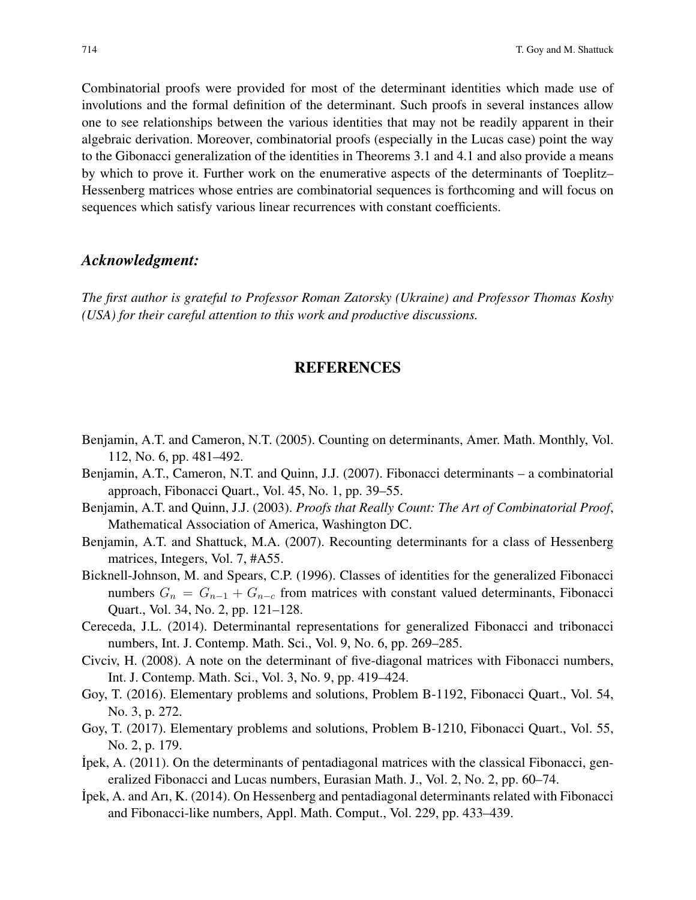Combinatorial proofs were provided for most of the determinant identities which made use of involutions and the formal definition of the determinant. Such proofs in several instances allow one to see relationships between the various identities that may not be readily apparent in their algebraic derivation. Moreover, combinatorial proofs (especially in the Lucas case) point the way to the Gibonacci generalization of the identities in Theorems 3.1 and 4.1 and also provide a means by which to prove it. Further work on the enumerative aspects of the determinants of Toeplitz– Hessenberg matrices whose entries are combinatorial sequences is forthcoming and will focus on sequences which satisfy various linear recurrences with constant coefficients.

## *Acknowledgment:*

*The first author is grateful to Professor Roman Zatorsky (Ukraine) and Professor Thomas Koshy (USA) for their careful attention to this work and productive discussions.*

## REFERENCES

- Benjamin, A.T. and Cameron, N.T. (2005). Counting on determinants, Amer. Math. Monthly, Vol. 112, No. 6, pp. 481–492.
- Benjamin, A.T., Cameron, N.T. and Quinn, J.J. (2007). Fibonacci determinants a combinatorial approach, Fibonacci Quart., Vol. 45, No. 1, pp. 39–55.
- Benjamin, A.T. and Quinn, J.J. (2003). *Proofs that Really Count: The Art of Combinatorial Proof*, Mathematical Association of America, Washington DC.
- Benjamin, A.T. and Shattuck, M.A. (2007). Recounting determinants for a class of Hessenberg matrices, Integers, Vol. 7, #A55.
- Bicknell-Johnson, M. and Spears, C.P. (1996). Classes of identities for the generalized Fibonacci numbers  $G_n = G_{n-1} + G_{n-c}$  from matrices with constant valued determinants, Fibonacci Quart., Vol. 34, No. 2, pp. 121–128.
- Cereceda, J.L. (2014). Determinantal representations for generalized Fibonacci and tribonacci numbers, Int. J. Contemp. Math. Sci., Vol. 9, No. 6, pp. 269–285.
- Civciv, H. (2008). A note on the determinant of five-diagonal matrices with Fibonacci numbers, Int. J. Contemp. Math. Sci., Vol. 3, No. 9, pp. 419–424.
- Goy, T. (2016). Elementary problems and solutions, Problem B-1192, Fibonacci Quart., Vol. 54, No. 3, p. 272.
- Goy, T. (2017). Elementary problems and solutions, Problem B-1210, Fibonacci Quart., Vol. 55, No. 2, p. 179.
- ˙Ipek, A. (2011). On the determinants of pentadiagonal matrices with the classical Fibonacci, generalized Fibonacci and Lucas numbers, Eurasian Math. J., Vol. 2, No. 2, pp. 60–74.
- ˙Ipek, A. and Arı, K. (2014). On Hessenberg and pentadiagonal determinants related with Fibonacci and Fibonacci-like numbers, Appl. Math. Comput., Vol. 229, pp. 433–439.